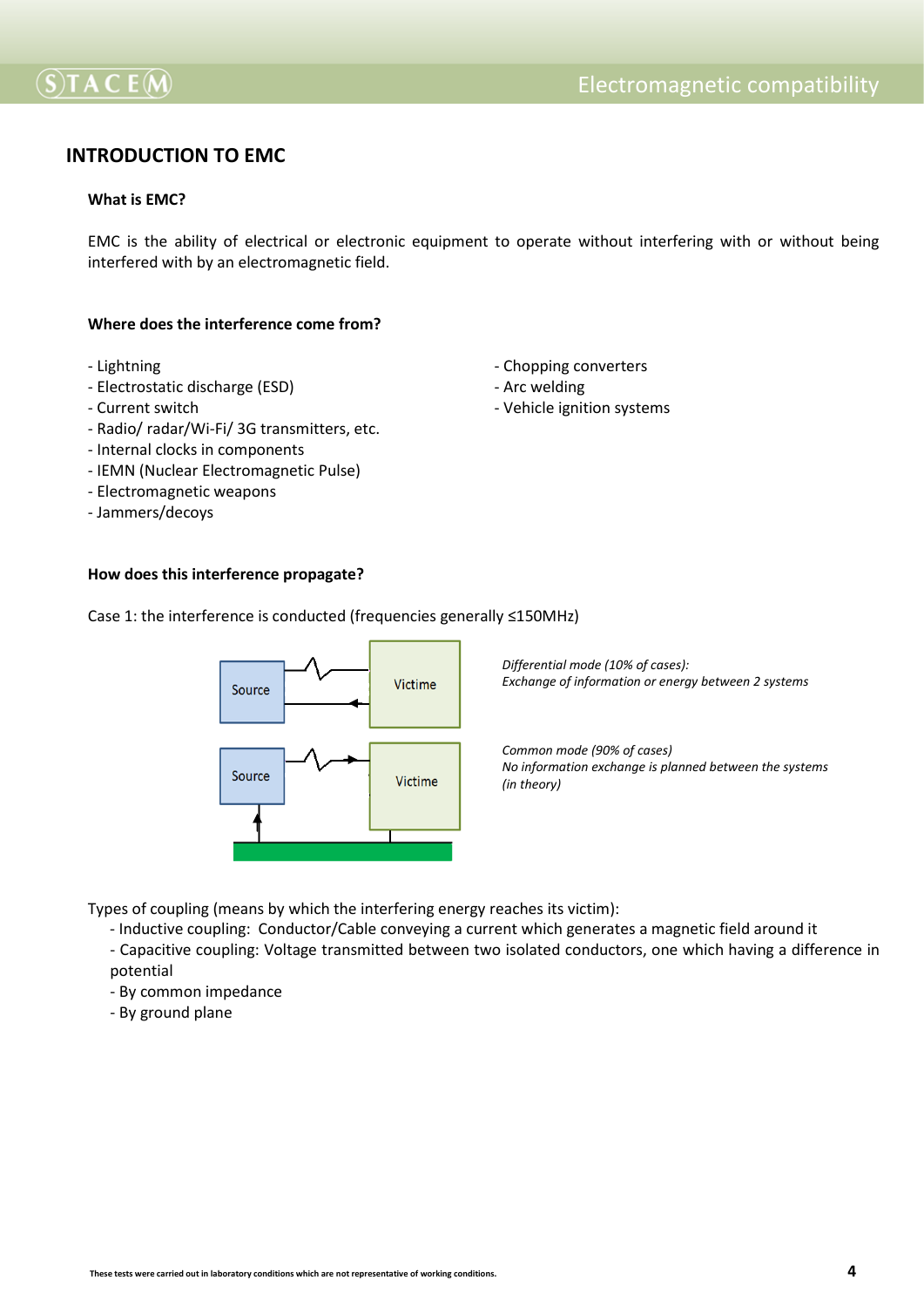# **INTRODUCTION TO EMC**

### **What is EMC?**

EMC is the ability of electrical or electronic equipment to operate without interfering with or without being interfered with by an electromagnetic field.

### **Where does the interference come from?**

- 
- Electrostatic discharge (ESD)  $\overline{\phantom{a}}$  Arc welding
- 
- Radio/ radar/Wi-Fi/ 3G transmitters, etc.
- Internal clocks in components
- IEMN (Nuclear Electromagnetic Pulse)
- Electromagnetic weapons
- Jammers/decoys

#### - Lightning  $\blacksquare$

- 
- Current switch  $\sim$  Vehicle ignition systems

#### **How does this interference propagate?**

Case 1: the interference is conducted (frequencies generally ≤150MHz)



*Differential mode (10% of cases): Exchange of information or energy between 2 systems*

*Common mode (90% of cases) No information exchange is planned between the systems (in theory)* 

Types of coupling (means by which the interfering energy reaches its victim):

- Inductive coupling: Conductor/Cable conveying a current which generates a magnetic field around it

- Capacitive coupling: Voltage transmitted between two isolated conductors, one which having a difference in potential

- By common impedance
- By ground plane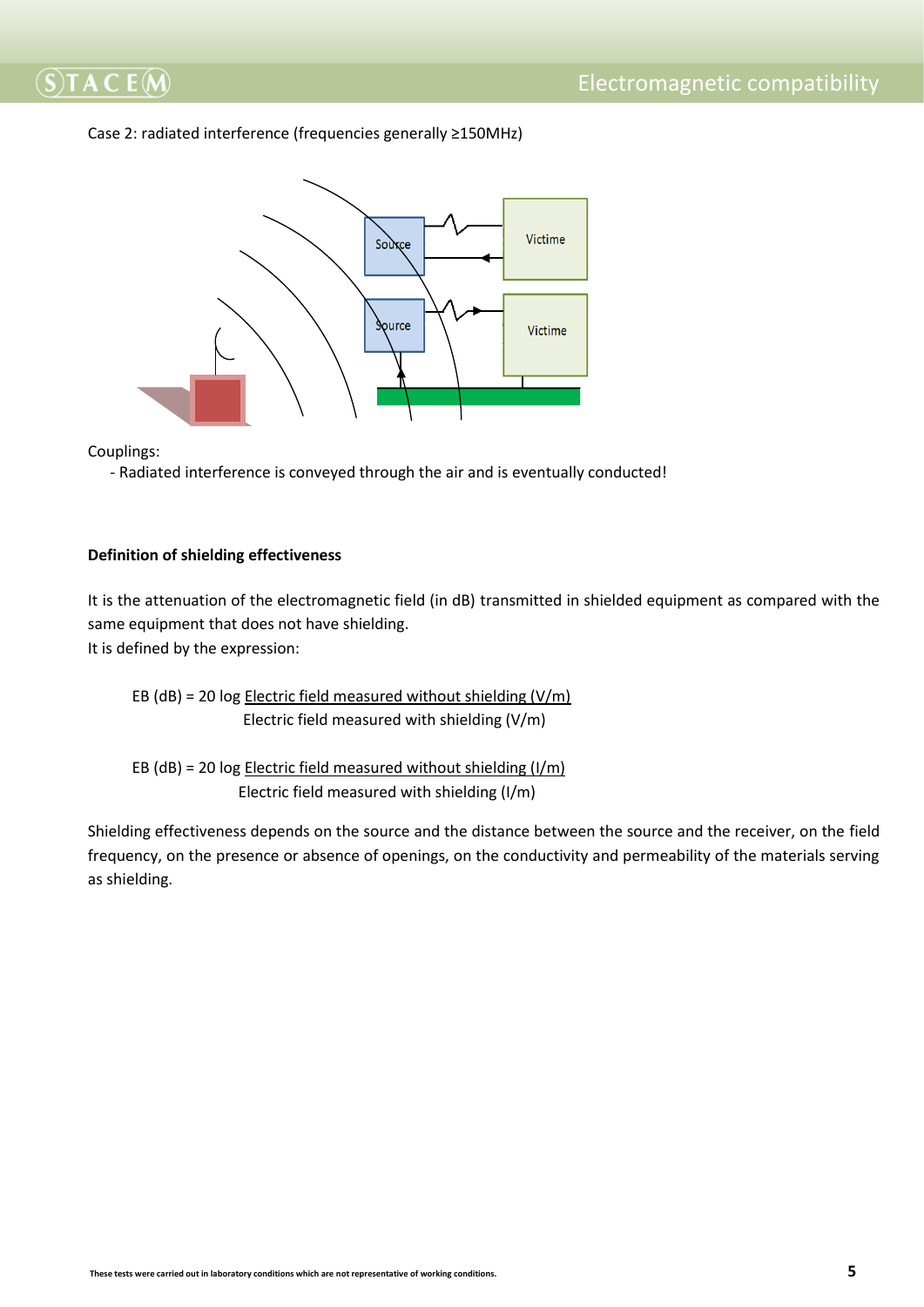# Case 2: radiated interference (frequencies generally ≥150MHz)



Couplings:

- Radiated interference is conveyed through the air and is eventually conducted!

# **Definition of shielding effectiveness**

It is the attenuation of the electromagnetic field (in dB) transmitted in shielded equipment as compared with the same equipment that does not have shielding.

It is defined by the expression:

EB (dB) = 20 log Electric field measured without shielding  $(V/m)$ Electric field measured with shielding (V/m)

EB (dB) = 20 log Electric field measured without shielding (I/m) Electric field measured with shielding (I/m)

Shielding effectiveness depends on the source and the distance between the source and the receiver, on the field frequency, on the presence or absence of openings, on the conductivity and permeability of the materials serving as shielding.